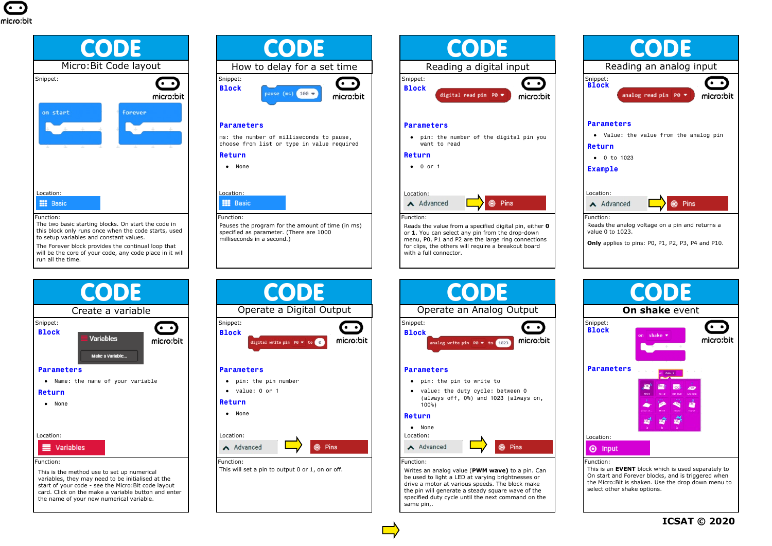



to setup variables and constant values. The Forever block provides the continual loop that

will be the core of your code, any code place in it will run all the time.



This is the method use to set up numerical variables, they may need to be initialised at the start of your code - see the Micro:Bit code layout card. Click on the make a variable button and enter the name of your new numerical variable.



# **Parameters**

ms: the number of milliseconds to pause, choose from list or type in value required

## **Return**

● None



● pin: the pin number ● value: 0 or 1

● None

Function: Pauses the program for the amount of time (in ms) specified as parameter. (There are 1000 milliseconds in a second.)

CODE

Operate a Digital Output

digital write pin P0  $\bullet$  to 0

 $\overline{\cdot}$ 

micro:bit

**6** Pins



or **1**. You can select any pin from the drop-down menu, P0, P1 and P2 are the large ring connections for clips, the others will require a breakout board with a full connector.





### **Parameters**

- pin: the pin to write to
- value: the duty cycle: between 0 (always off, 0%) and 1023 (always on,  $100$ %

### **Return**

● None Location: A Advanced **@** Pins

### Function:

Writes an analog value (**PWM wave)** to a pin. Can be used to light a LED at varying brightnesses or drive a motor at various speeds. The block make the pin will generate a steady square wave of the specified duty cycle until the next command on the same pin,.



This is an **EVENT** block which is used separately to On start and Forever blocks, and is triggered when the Micro:Bit is shaken. Use the drop down menu to select other shake options.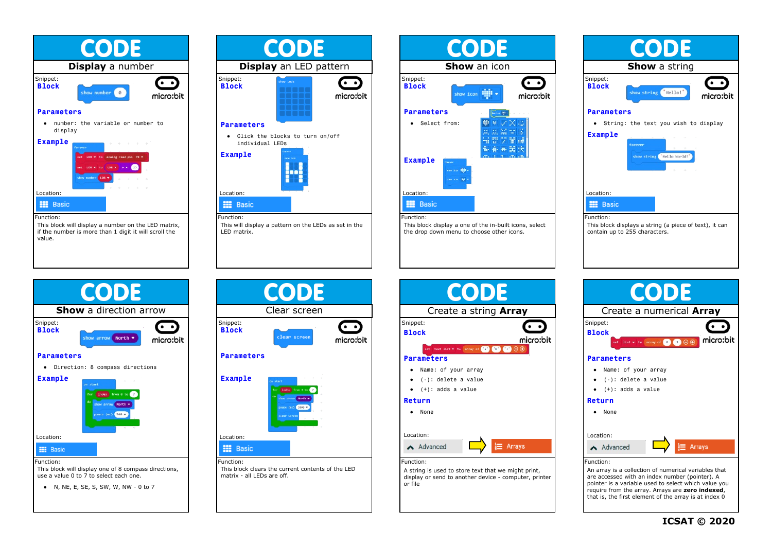

**CODE Display** an LED pattern Snippet: െ **Block** micro:bit **Parameters** ● Click the blocks to turn on/off individual LEDs **Example** Location: **HI** Basic

This will display a pattern on the LEDs as set in the

Function:

LED matrix.



**CODE Show** a string Snippet: െ **Block** show string Hello! micro:bit **Parameters** ● String: the text you wish to display **Example** show string ("Hello World! Location: **III** Basic Function: This block displays a string (a piece of text), it can contain up to 255 characters.



use a value 0 to 7 to select each one.

● N, NE, E, SE, S, SW, W, NW - 0 to 7







are accessed with an index number (pointer). A pointer is a variable used to select which value you require from the array. Arrays are **zero indexed**, that is, the first element of the array is at index 0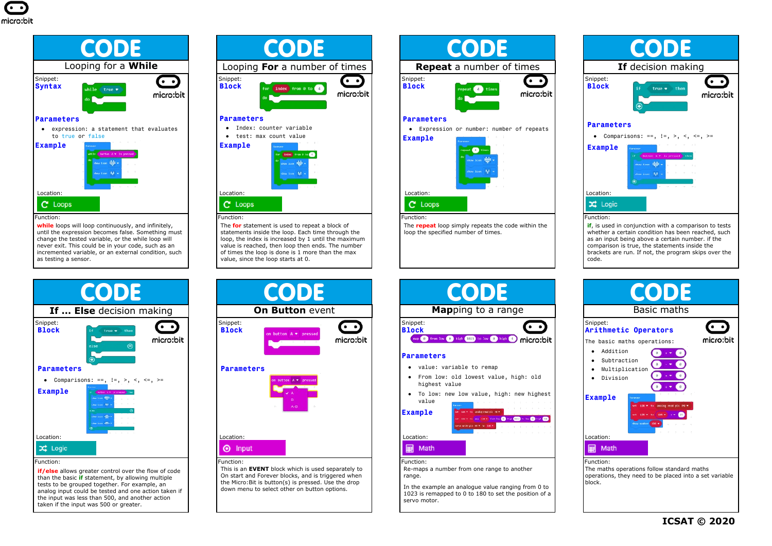

**while** loops will loop continuously, and infinitely, until the expression becomes false. Something must change the tested variable, or the while loop will never exit. This could be in your code, such as an incremented variable, or an external condition, such as testing a sensor.



**if/else** allows greater control over the flow of code than the basic **if** statement, by allowing multiple tests to be grouped together. For example, an analog input could be tested and one action taken if the input was less than 500, and another action taken if the input was 500 or greater.



The **for** statement is used to repeat a block of statements inside the loop. Each time through the loop, the index is increased by 1 until the maximum value is reached, then loop then ends. The number of times the loop is done is 1 more than the max value, since the loop starts at 0.



On start and Forever blocks, and is triggered when the Micro:Bit is button(s) is pressed. Use the drop down menu to select other on button options.



The **repeat** loop simply repeats the code within the loop the specified number of times.

Snippet:

**Parameters**

value **Example**

highest value

Function:

Location:

**■ Math** 

range.

servo motor.



whether a certain condition has been reached, such as an input being above a certain number. if the comparison is true, the statements inside the brackets are run. If not, the program skips over the code.

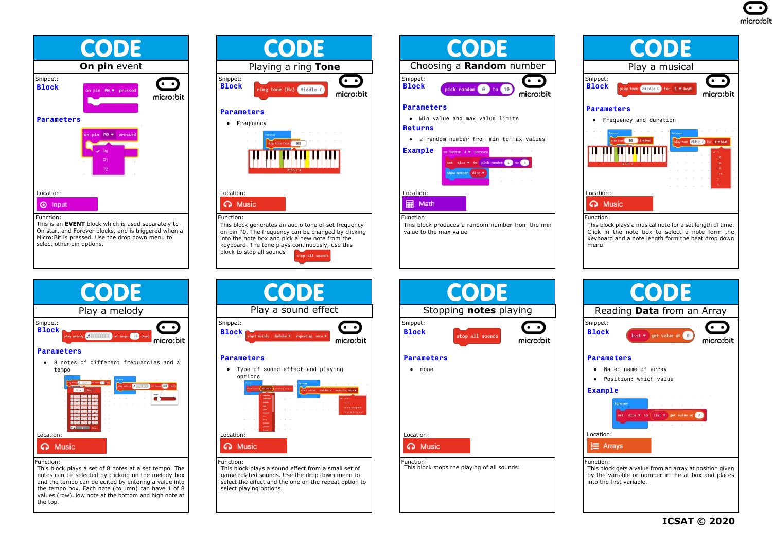



## Function:

This is an **EVENT** block which is used separately to On start and Forever blocks, and is triggered when a Micro:Bit is pressed. Use the drop down menu to select other pin options.



#### Function:

This block plays a set of 8 notes at a set tempo. The notes can be selected by clicking on the melody box and the tempo can be edited by entering a value into the tempo box. Each note (column) can have 1 of 8 values (row), low note at the bottom and high note at the top.



This block generates an audio tone of set frequency on pin P0. The frequency can be changed by clicking into the note box and pick a new note from the keyboard. The tone plays continuously, use this block to stop all sounds  $\frac{1}{2}$  all sound



This block plays a sound effect from a small set of game related sounds. Use the drop down menu to select the effect and the one on the repeat option to select playing options.



This block produces a random number from the min value to the max value



This block plays a musical note for a set length of time. Click in the note box to select a note form the keyboard and a note length form the beat drop down monu